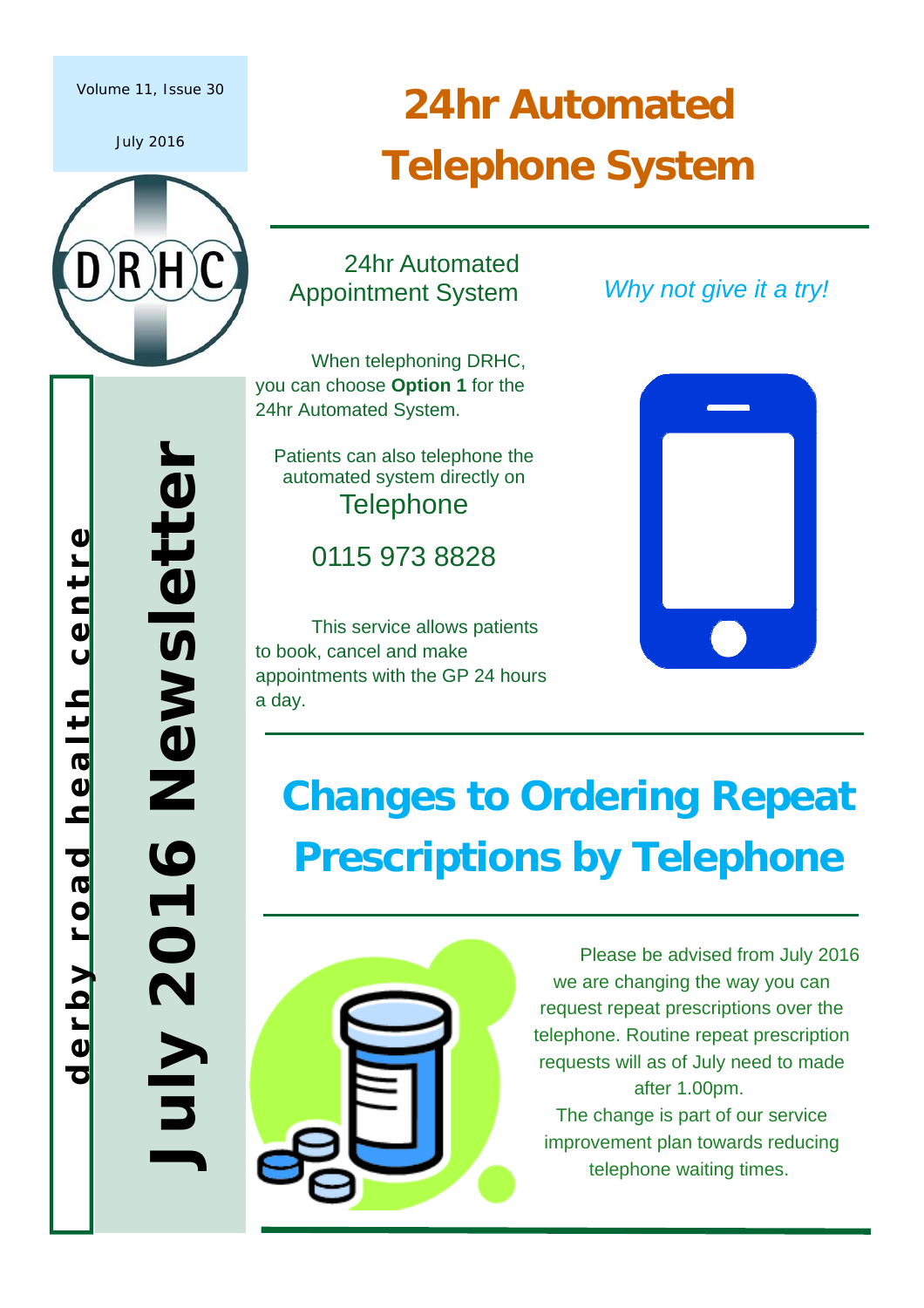#### Volume 11, Issue 30

July 2016



## **24hr Automated Telephone System**

24hr Automated Appointment System

 When telephoning DRHC, you can choose **Option 1** for the 24hr Automated System.

Patients can also telephone the automated system directly on **Telephone** 

0115 973 8828

 This service allows patients to book, cancel and make appointments with the GP 24 hours a day.

 *Why not give it a try!* 



## **Changes to Ordering Repeat Prescriptions by Telephone**



 Please be advised from July 2016 we are changing the way you can request repeat prescriptions over the telephone. Routine repeat prescription requests will as of July need to made after 1.00pm. The change is part of our service improvement plan towards reducing telephone waiting times.

**derby road health centre**  health centre derby road

**July 2016 Newsletter** 

2016

z Kınr

Newsletter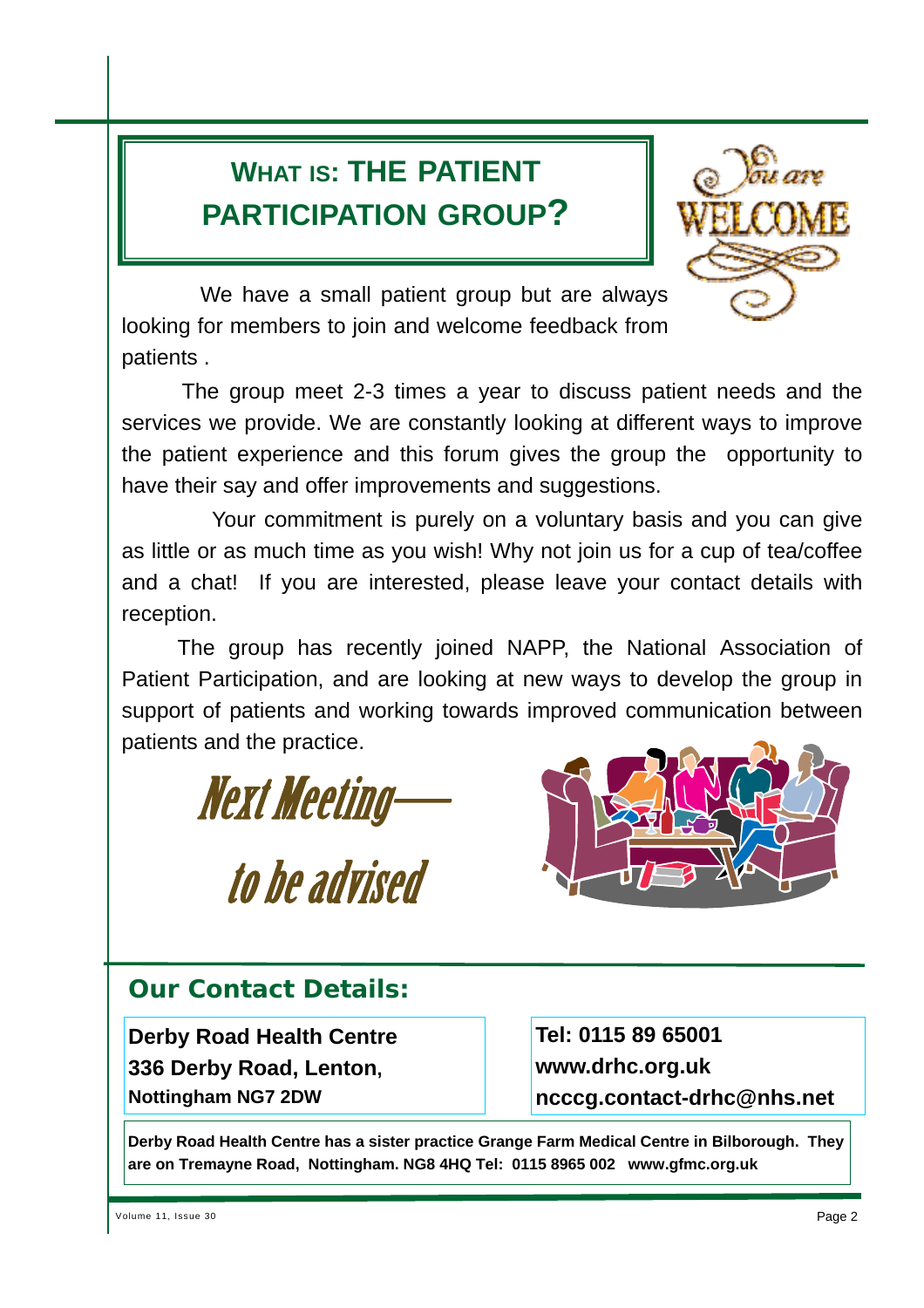### **WHAT IS: THE PATIENT PARTICIPATION GROUP?**



 We have a small patient group but are always looking for members to join and welcome feedback from patients .

 The group meet 2-3 times a year to discuss patient needs and the services we provide. We are constantly looking at different ways to improve the patient experience and this forum gives the group the opportunity to have their say and offer improvements and suggestions.

 Your commitment is purely on a voluntary basis and you can give as little or as much time as you wish! Why not join us for a cup of tea/coffee and a chat! If you are interested, please leave your contact details with reception.

 The group has recently joined NAPP, the National Association of Patient Participation, and are looking at new ways to develop the group in support of patients and working towards improved communication between patients and the practice.

Next Meeting—



# to be advised

#### **Our Contact Details:**

**Derby Road Health Centre 336 Derby Road, Lenton, Nottingham NG7 2DW**

**Tel: 0115 89 65001 www.drhc.org.uk ncccg.contact-drhc@nhs.net** 

**Derby Road Health Centre has a sister practice Grange Farm Medical Centre in Bilborough. They are on Tremayne Road, Nottingham. NG8 4HQ Tel: 0115 8965 002 www.gfmc.org.uk**